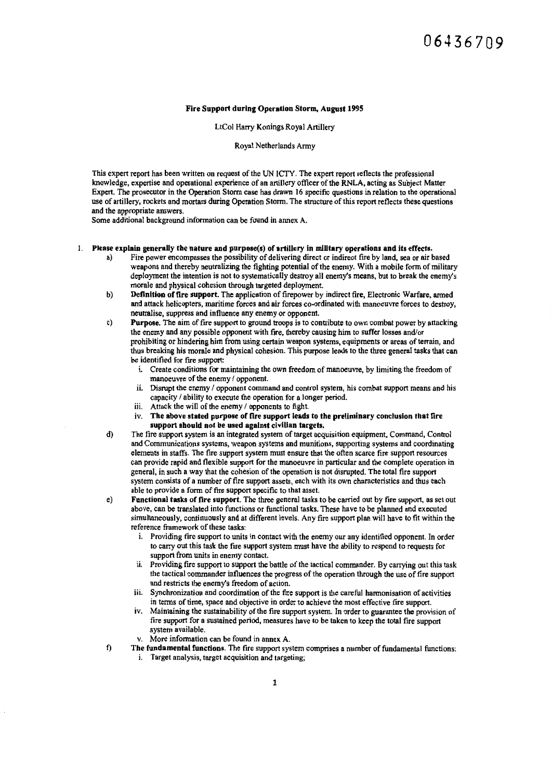#### Fire Support during Operation Storm, August 1995

LtCol Harry Konings Royal Artillery

Royal Netherlands Army

This expert report has been written on request of the UN ICTY. The expert report reflects the professional knowledge, expertise and operational experience of an artillery officer of the RNLA, acting as Subject Matter Expert. The prosecutor in the Operation Storm case has drawn 16 specific questions in relation to the operational use of artillery, rockets and mortars during Operation Storm. The structure of this report reflects these questions and the appropriate answers.

Some additional background information can be found in annex A.

#### 1. Please explain generally the nature and purpose(s) of artillery in milltary operations and its effects.

- Fire power encompasses the possibility of delivering direct or indirect fire by land, sea or air based weapons and thereby neutralizing the fighting potential of the enemy. With a mobile form of military deployment the intention is not to systematically destroy all enemy's means, but to break the enemy's morale and physical cohesion through targeted deployment.
- b) Definition of fire support. The application of firepower by indirect fire, Electronic Warfare, armed and attack helicopters, maritime forces and air forces co-ordinated with manoeuvre forces to destroy, neutralise, suppress and influence any enemy or opponent.
- c) Purpose. The aim of fire support to ground troops is to contribute to own combat power by attacking the enemy and any possible opponent with fire, thereby causing him to suffer losses and/or prohibiting or hindering him from using certain weapon systems, equipments or areas of terrain, and thus breaking his morale and physical cohesion. This purpose leads to the three general tasks that can be identified for fire support:
	- 1. Create conditions for maintaining the own freedom of manoeuvre, by limiting the freedom of manoeuvre of the enemy / opponent.
	- ii. Disrupt the enemy / opponent command and control system, his combat support means and his capacity / ability to execute the operation for a longer period.
	- iii. Attack the will of the enemy / opponents to fight.<br>iv. The above stated purpose of fire support leads
	- The above stated purpose of fire support leads to the preliminary conclusion that fire support should not be used against civilian targets.
- d) The fire support system is an integrated system of target acquisition equipment, Command, Control and Communications systems, weapon systems and munitions, supporting systems and coordinating elements in staffs. The fire support system must ensure that the often scarce fire support resources can provide rapid and flexible support for the manoeuvre in particular and the complete operation in general, in such a way that the cohesion of the operation is not disrupted. The total fire support system consists of a number of fire support assets, each with its own characteristics and thus each able to provide a form of fire support specific to that asset.
- e) Functional tasks of fire support. The three general tasks to be carried out by fire support, as set out above, can be translated into functions or functional tasks. These have to be planned and executed simultaneously, continuously and at different levels. Any fire support plan will have to fit within the reference framework of these tasks:
	- i. Providing fire support to units in contact with the enemy our any identified opponent. In order to carry out this task the fire support system must have the ability to respond to requests for support from units in enemy contact.
	- ii. Providing fire support to support the battle of the tactical commander. By carrying out this task the tactical commander influences the progress of the operation through the use of fire support and restricts the enemy's freedom of action.
	- iii. Synchronization and coordination of the fire support is the careful harmonisation of activities in terms of time, space and objective in order to achieve the most effective fire support.
	- iv. Maintaining the sustainability of the fire support system. In order to guarantee the provision of fire support for a sustained period, measures have to be taken to keep the total fire support system available.
	- v. More information can be found in annex A.
- f) The fundamental functions. The fire support system comprises a number of fundamental functions: i. Target analysis, target acquisition and targeting;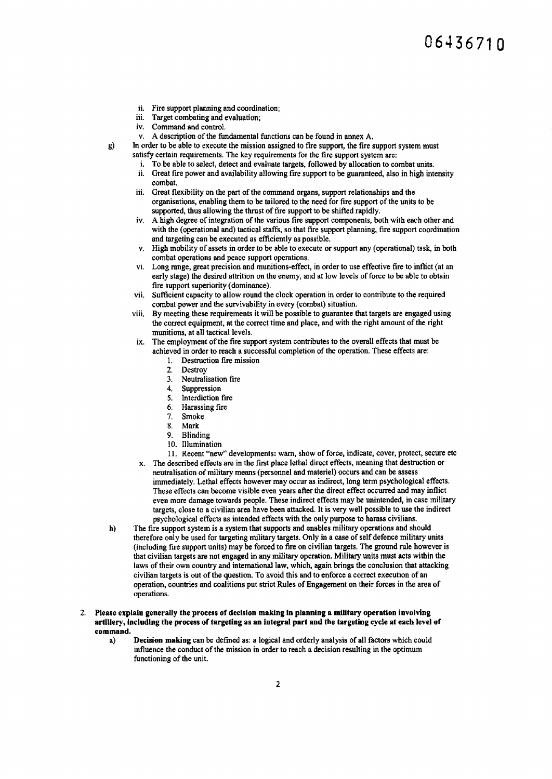- ii. Fire support planning and coordination;
- iii. Target combating and evaluation;
- iv. Command and control.
- v. A description of the fundamental functions can be found in annex A.
- g) In order to be able to execute the mission assigned to fire support, the fire support system must satisfy certain requirements. The key requirements for the fire support system are:
	- i. To be able to select, detect and evaluate targets, followed by allocation to combat units.
	- ii. Great fire power and availability allowing fire support to be guaranteed, also in high intensity combat.
	- iii. Great flexibility on the part of the command organs, support relationships and the organisations, enabling them to be tailored to the need for fire support of the units to be supported, thus allowing the thrust of fire support to be shifted rapidly.
	- iv. A high degree of integration of the various fire support components, both with each other and with the (operational and) tactical staffs, so that fire support planning, fire support coordination and targeting can be executed as efficiently as possible.
	- v. High mobility of assets in order to be able to execute or support any (operational) task, in both combat operations and peace support operations.
	- vi. Long range, great precision and munitions-effect, in order to use effective fire to inflict (at an early stage) the desired attrition on the enemy, and at low levels of force to be able to obtain fire support superiority (dominance).
	- vii. Sufficient capacity to allow round the clock operation in order to contribute to the required combat power and the survivability in every (combat) situation.
	- viii. By meeting these requirements it will be possible to guarantee that targets are engaged using the correct equipment, at the correct time and place, and with the right amount of the right munitions, at all tactical levels.
	- ix. The employment of the fire support system contributes to the overall effects that must be achieved in order to reach a successful completion of the operation. These effects are:
		- 1. Destruction fire mission
		- 2. Destroy<br>3. Neutrali
		- 3. Neutralisation fire<br>4. Sunnression
		- 4. Suppression<br>5. Interdiction
		- *5.* Interdiction fire
		- 6. Harassing fire
		- 7. Smoke
		- Mark
		- 9. Blinding
		- IO. Illumination
	- 11. Recent "new" developments: warn, show of force, indicate, cover, protect, secure etc x. The described effects are in the first place lethal direct effects, meaning that destruction or
	- neutralisation of military means {personnel and materiel) occurs and can be assess immediately. Lethal effects however may occur as indirect, long tenn psychological effects. These effects can become visible even years after the direct effect occurred and may inflict even more damage towards people. These indirect effects may be unintended, in case military targets, close to a civilian area have been attacked. It is very well possible to use the indirect psychological effects as intended effects with the only purpose to harass civilians.
- h) The fire support system is a system that supports and enables military operations and should therefore only be used for targeting military targets. Only in a case of self defence military units (including fire support units) may be forced to fire on civilian targets. The ground rule however is that civilian targets are not engaged in any military operation. Military units must acts within the laws of their own country and international law, which, again brings the conclusion that attacking civilian targets is out of the question. To avoid this and to enforce a correct execution of an operation, countries and coalitions put strict Rules of Engagement on their forces in the area of operations.
- 2. Please explain generally the process of decision making in planning a military operation involving artillery, Including the process of targeting as an integral part and the targeting cycle at each level of command.
	- a) Decision making can be defined as: a logical and orderly analysis of all factors which could influence the conduct of the mission in order to reach a decision resulting in the optimum functioning of the unit.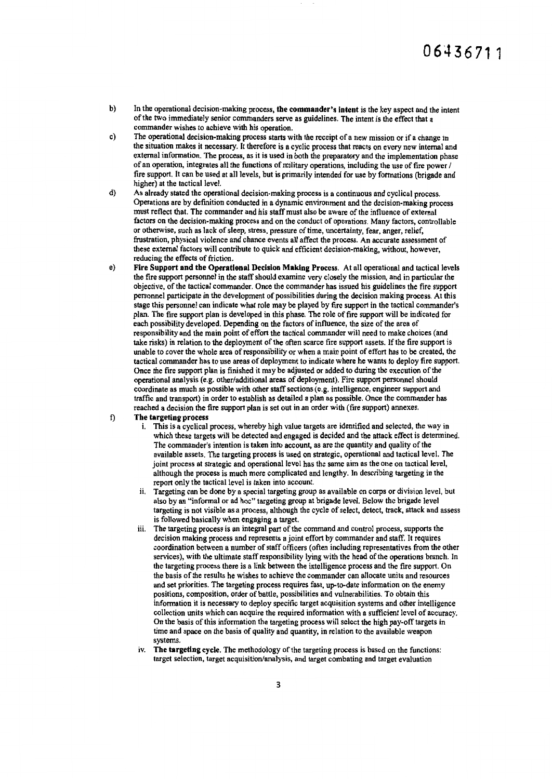- b) In the operational decision-making process, the commander's intent is the key aspect and the intent of the two immediately senior commanders serve as guidelines. The intent is the effect that a commander wishes to achieve with his operation.
- c) The operational decision-making process starts with the receipt of a new mission or if a change in the situation makes it necessary. It therefore is a cyclic process that reacts on every new internal and external information. The process, as it is used in both the preparatory and the implementation phase of an operation, integrates all the functions of military operations, including the use of fire power / fire support. It can be used at all levels, but is primarily intended for use by fonnations (brigade and higher) at the tactical level.
- d) As already stated the operational decision-making process is a continuous and cyclical process. Operations are by definition conducted in a dynamic environment and the decision-making process must reflect that. The commander and his staff must also be aware of the influence of external factors on the decision-making process and on the conduct of operations. Many factors, controllable or otherwise, such as lack of sleep, stress, pressure of time, uncertainty, fear, anger, relief, frustration, physical violence and chance events all affect the process. An accurate assessment of these external factors will contribute to quick and efficient decision-making, without, however, reducing the effects of friction.
- e) Fire Support and the Operational Decision Making Process. At all operational and tactical levels the fire support personnel in the staff should examine very closely the mission, and in particular the objective, of the tactical commander. Once the commander has issued his guidelines the fire support personnel participate in the development of possibilities during the decision making process. At this stage this personnel can indicate what role may be played by fire support in the tactical commander's plan. The fire support plan is developed in this phase. The role of fire support will be indicated for each possibility developed. Depending on the factors of influence, the size of the area of responsibility and the main point of effort the tactical conunander will need to make choices (and take risks) in relation to the deployment of the often scarce fire support assets. If the fire support is unable to cover the whole area of responsibility or when a main point of effort has to be created, the tactical commander has to use areas of deployment to indicate where he wants to deploy fire support. Once the fire support plan is finished it may be adjusted or added to during the execution of the operational analysis (e.g. other/additional areas of deployment). Fire support personnel should coordinate as much as possible with other staff sections (e.g. intelligence, engineer support and traffic and transport) in order to establish as detailed a plan as possible. Once the commander has reached a decision the fire support plan is set out in an order with (fire support) annexes.
- f) The targeting process
	- i. This is a cyclical process, whereby high value targets are identified and selected, the way in which these targets will be detected and engaged is decided and the attack effect is determined. The commander's intention is taken into account, as are the quantity and quality of the available assets. The targeting process is used on strategic, operational and tactical level. The joint process at strategic and operational level has the same aim as the one on tactical level, although the process is much more complicated and lengthy. In describing targeting in the report only the tactical level is taken into account.
	- ii. Targeting can be done by a special targeting group as available on corps or division level, but also by an "informal or ad hoc" targeting group at brigade level. Below the brigade level targeting is not visible as a process, although the cycle of select, detect, track, attack and assess is followed basically when engaging a target.
	- iii. The targeting process is an integral part of the command and control process, supports the decision making process and represents a joint effort by commander and staff. It requires coordination between a number of staff officers (often including representatives from the other services), with the ultimate staff responsibility lying with the head of the operations branch. In the targeting process there is a link between the intelligence process and the fire support. On the basis of the results he wishes to achieve the commander can allocate units and resources and set priorities. The targeting process requires fast, up-to-date information on the enemy positions, composition, order of battle, possibilities and vulnerabilities. To obtain this information it is necessary to deploy specific target acquisition systems and other intelligence collection units which can acquire the required information with a sufficient level of accuracy. On the basis of this information the targeting process will select the high pay-off targets in time and space on the basis of quality and quantity, in relation to the available weapon systems.
	- iv. The targeting cycle. The methodology of the targeting process is based on the functions: target selection, target acquisition/analysis, and target combating and target evaluation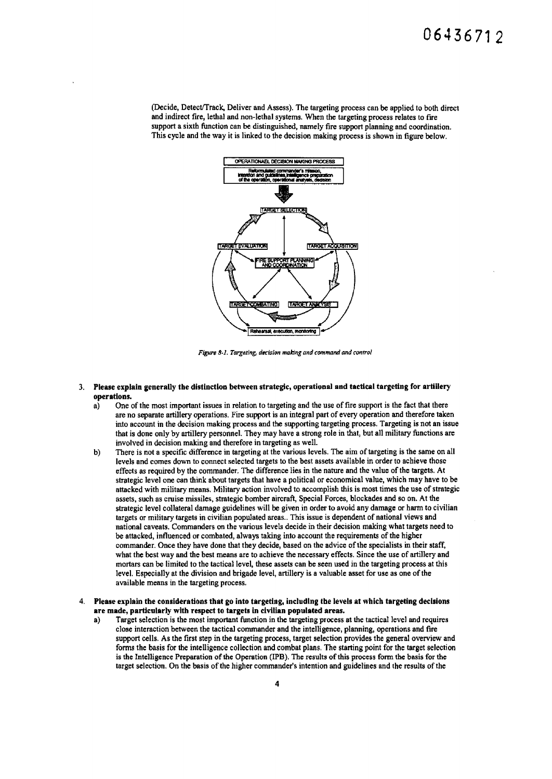(Decide, DetecVTrack, Deliver and Assess). The targeting process can be applied to both direct and indirect fire, lethal and non-lethal systems. When the targeting process relates to fire support a sixth function can be distinguished, namely fire support planning and coordination. This cycle and the way it is linked to the decision making process is shown in figure below.



Figure 8-1. Targeting, decision making and command and control

- 3. Please explain generally the distinction between strategic, operational and tactical targeting for artillery operations.<br>a) One
	- One of the most important issues in relation to targeting and the use of fire support is the fact that there are no separate artillery operations. Fire support is an integral part of every operation and therefore taken into account in the decision making process and the supporting targeting process. Targeting is not an issue that is done only by artillery personnel. They may have a strong role in that, but all military functions are involved in decision making and therefore in targeting as well.
	- b) There is not a specific difference in targeting at the various levels. The aim of targeting is the same on all levels and comes down to connect selected targets to the best assets available in order to achieve those effects as required by the commander. The difference lies in the nature and the value of the targets. At strategic level one can think about targets that have a political or economical value, which may have to be attacked with military means. Military action involved to accomplish this is most times the use of strategic assets, such as cruise missiles, strategic bomber aircraft, Special Forces, blockades and so on. At the strategic level collateral damage guidelines will be given in order to avoid any damage or harm to civilian targets or military targets in civilian populated areas .. This issue is dependent of national views and national caveats. Commanders on the various levels decide in their decision making what targets need to be attacked, influenced or combated, always taking into account the requirements of the higher commander. Once they have done that they decide, based on the advice of the specialists in their staff, what the best way and the best means are to achieve the necessary effects. Since the use of artillery and mortars can be limited to the tactical level, these assets can be seen used in the targeting process at this level. Especially at the division and brigade level, artillery is a valuable asset for use as one of the available means in the targeting process.
- 4. Please explain the considerations that go into targeting, including the levels at which targeting decisions are made, particularly with respect to targets in civilian populated areas.
	- a) Target selection is the most important function in the targeting process at the tactical level and requires close interaction between the tactical commander and the intelligence, planning, operations and fire support cells. As the first step in the targeting process, target selection provides the general overview and forms the basis for the intelligence collection and combat plans. The starting point for the target selection is the Intelligence Preparation of the Operation (IPB). The results of this process form the basis for the target selection. On the basis of the higher commander's intention and guidelines and the results of the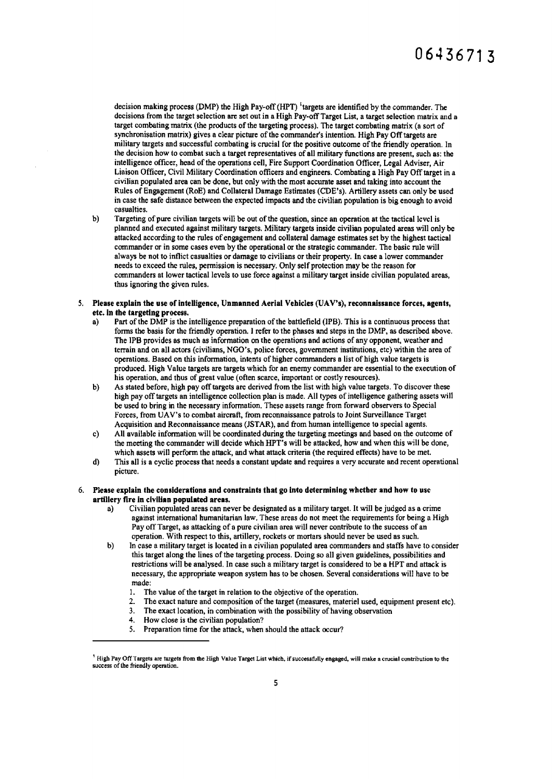decision making process (DMP) the High Pay-off (HPT) <sup>t</sup>argets are identified by the commander. The decisions from the target selection are set out in a High Pay-off Target List, a target selection matrix and a target combating matrix (the products of the targeting process). The target combating matrix (a sort of synchronisation matrix) gives a clear picture of the commander's intention. High Pay Off targets are military targets and successful combating is crucial for the positive outcome of the friendly operation. In the decision how to combat such a target representatives of all military functions are present, such as: the intelligence officer, head of the operations cell, Fire Support Coordination Officer, Legal Adviser, Air Liaison Officer, Civil Military Coordination officers and engineers. Combating a High Pay Off target in a civilian populated area can be done, but only with the most accurate asset and taking into account the Rules of Engagement (RoE) and Collateral Damage Estimates (CDE's). Artillery assets can only be used in case the safe distance between the expected impacts and the civilian population is big enough to avoid casualties.

- b) Targeting of pure civilian targets will be out of the question, since an operation at the tactical level is planned and executed against military targets. Military targets inside civilian populated areas will only be attacked according to the rules of engagement and collateral damage estimates set by the highest tactical commander or in some cases even by the operational or the strategic commander. The basic rule will always be not to inflict casualties or damage to civilians or their property. In case a lower commander needs to exceed the rules, permission is necessary. Only self protection may be the reason for commanders at lower tactical levels to use force against a military target inside civilian populated areas, thus ignoring the given rules.
- *5.* Please explain the use of intelligence, Unmanned Aerial Vehicles (UAV's), reconnaissance forces, agents, etc. in the targeting process.
	- Part of the DMP is the intelligence preparation of the battlefield (IPB). This is a continuous process that forms the basis for the friendly operation. I refer to the phases and steps in the DMP, as described above. The IPB provides as much as information on the operations and actions of any opponent, weather and terrain and on all actors (civilians, NGO's, police forces, government institutions, etc) within the area of operations. Based on this information, intents of higher commanders a list of high value targets is produced. High Value targets are targets which for an enemy commander are essential to the execution of his operation, and thus of great value (often scarce, important or costly resources).
	- b) As stated before, high pay off targets are derived from the list with high value targets. To discover these high pay off targets an intelligence collection plan is made. All types of intelligence gathering assets will be used to bring in the necessary information. These assets range from forward observers to Special Forces, from UA V's to combat aircraft, from reconnaissance patrols to Joint Surveillance Target Acquisition and Reconnaissance means (JSTAR), and from human intelligence to special agents.
	- c) All available information will be coordinated during the targeting meetings and based on the outcome of the meeting the commander will decide which HPT's will be attacked, how and when this will be done, which assets will perform the attack, and what attack criteria (the required effects) have to be met.
	- d) This all is a cyclic process that needs a constant update and requires a very accurate and recent operational picture.
- 6. Please explain the considerations and constraints that go Into determining whether and how to use artillery fire in civilian populated areas.
	- a) Civilian populated areas can never be designated as a military target. It will be judged as a crime against international humanitarian law. These areas do not meet the requirements for being a High Pay off Target, as attacking of a pure civilian area will never contribute to the success of an operation. With respect to this, artillery, rockets or mortars should never be used as such.
	- b) In case a military target is located in a civilian populated area commanders and staffs have to consider this target along the lines of the targeting process. Doing so all given guidelines, possibilities and restrictions will be analysed. In case such a military target is considered to be a HPT and attack is necessary, the appropriate weapon system has to be chosen. Several considerations will have to be made:
		- I. The value of the target in relation to the objective of the operation.
		- 2. The exact nature and composition of the target (measures, materiel used, equipment present etc).
		- 3. The exact location, in combination with the possibility of having observation
		- 4. How close is the civilian population?
		- *5.* Preparation time for the attack, when should the attack occur?

<sup>1</sup> High Pay Off Targets are targets from the High Value Target List which, if successfully engaged, will make a crucial contribution to the success of the friendly operation.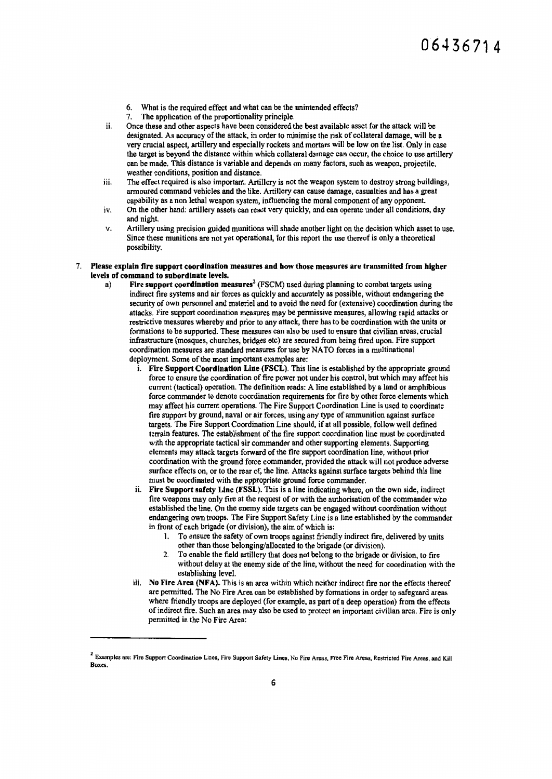- 6. What is the required effect and what can be the unintended effects?
- 7. The application of the proportionality principle.
- ii. Once these and other aspects have been considered the best available asset for the attack will be designated. As accuracy of the attack, in order to minimise the risk of collateral damage, will be a very crucial aspect, artillery and especially rockets and mortars will be low on the list. Only in case the target is beyond the distance within which collateral damage can occur, the choice to use artillery can be made. This distance is variable and depends on many factors, such as weapon, projectile, weather conditions, position and distance.
- iii. The effect required is also important. Artillery is not the weapon system to destroy strong buildings, annoured command vehicles and the like. Artillery can cause damage, casualties and has a great capability as a non lethal weapon system, influencing the moral component of any opponent.
- iv. On the other hand: artillery assets can react very quickly, and can operate under all conditions, day and night.
- v. Artillery using precision guided munitions will shade another light on the decision which asset to use. Since these munitions are not yet operational, for this report the use thereof is only a theoretical possibility.
- 7. Please explain fire support coordination measures and how those measures are transmitted from higher levels of command to subordinate levels.
	- a) Fire support coordination measures<sup>2</sup> (FSCM) used during planning to combat targets using indirect fire systems and air forces as quickly and accurately as possible, without endangering the security of own personnel and materiel and to avoid the need for (extensive) coordination during the attacks. Fire support coordination measures may be permissive measures, allowing rapid attacks or restrictive measures whereby and prior to any attack, there has to be coordination with the units or formations to be supported. These measures can also be used to ensure that civilian areas, crucial infrastructure (mosques, churches, bridges etc) are secured from being fired upon. Fire support coordination measures arc standard measures for use by NA TO forces in a multinational deployment. Some of the most important examples are:
		- i. Fire Support Coordination Une (FSCL). This line is established by the appropriate ground force to ensure the coordination of fire power not under his control, but which may affect his current (tactical) operation. The definition reads: A line established by a land or amphibious force commander to denote coordination requirements for fire by other force elements which may affect his current operations. The Fire Support Coordination Line is used to coordinate: fire support by ground, naval or air forces, using any type of ammunition against surface targets. The Fire Support Coordination Line should, if at all possible, follow well defined terrain features. The establishment of the fire support coordination line must be coordinated with the appropriate tactical air commander and other supporting elements. Supporting elements may attack targets forward of the fire support coordination line, without prior coordination with the ground force commander, provided the attack will not produce adverse surface effects on, or to the rear of, the line. Attacks against surface targets behind this line must be coordinated with the appropriate ground force commander.
		- ii. Fire Support safety Une (FSSL). This is a line indicating where, on the own side, indirect fire weapons may only fire at the request of or with the authorisation of the commander who established the line. On the enemy side targets can be engaged without coordination without endangering own troops. The Fire Support Safety Line is a line established by the commander in front of each brigade (or division), the aim of which is:
			- I. To ensure the safety of own troops against friendly indirect fire, delivered by units other than those belonging/allocated to the brigade (or division).
			- 2. To enable the field artillery that does not belong to the brigade or division, to fire without delay at the enemy side of the line, without the need for coordination with the establishing level.
		- iii. No Fire Area (NFA). This is an area within which neither indirect fire nor the effects thereof are permitted. The No Fire Area can be established by formations in order to safeguard areas where friendly troops are deployed (for example, as part of a deep operation) from the effects of indirect fire. Such an area may also be used to protect an important civilian area. Fire is only permitted in the No Fire Area:

<sup>&</sup>lt;sup>2</sup> Examples are: Fire Support Coordination Lines, Fire Support Safety Lines, No Fire Areas, Free Fire Areas, Restricted Fire Areas, and Kill **Boxes**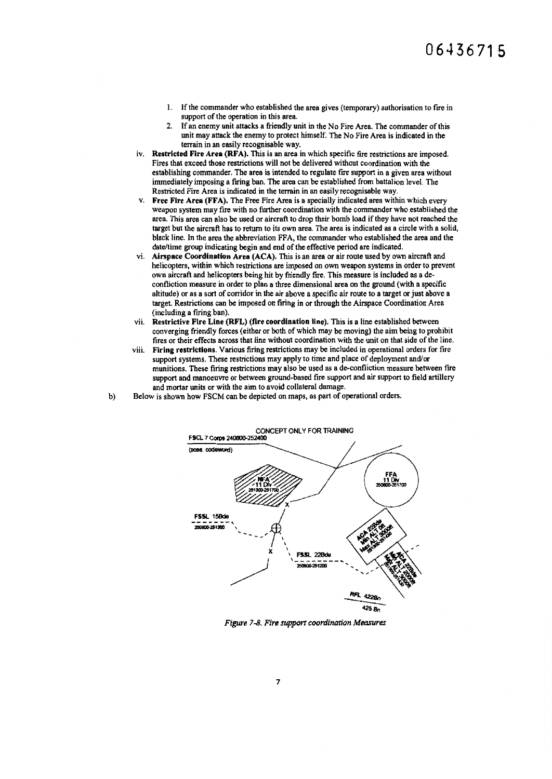- 1. If the commander who established the area gives (temporary) authorisation to fire in support of the operation in this area.
- 2. If an enemy unit attacks a friendly unit in the No Fire Area. The commander of this unit may attack the enemy to protect himself. The No Fire Area is indicated in the terrain in an easily recognisable way.
- iv. Restricted Fire Area (RFA). This is an area in which specific fire restrictions are imposed. Fires that exceed those restrictions will not be delivered without coordination with the establishing commander. The area is intended to regulate fire support in a given area without immediately imposing a firing ban. The area can be established from battalion level. The Restricted Fire Area is indicated in the terrain in an easily recognisable way.
- Free Fire Area (FFA). The Free Fire Area is a specially indicated area within which every weapon system may tire with no further coordination with the commander who established the area. This area can also be used or aircraft to drop their bomb load if they have not reached the target but the aircraft has to return to its own area. The area is indicated as a circle with a solid, black line. In the area the abbreviation FFA, the commander who established the area and the date/time group indicating begin and end of the effective period are indicated.
- vi. Airspace Coordination Area (ACA). This is an area or air route used by own aircraft and helicopters, within which restrictions are imposed on own weapon systems in order to prevent own aircraft and helicopters being hit by friendly fire. This measure is included as a decontliction measure in order to plan a three dimensional area on the ground (with a specific altitude) or as a sort of corridor in the air above a specific air route to a target or just above a target. Restrictions can be imposed on firing in or through the Airspace Coordination Area (including a firing ban).
- vii. Restrictive Fire Line (RFL) (fire coordination line). This is a line established between converging friendly forces (either or both of which may be moving) the aim being to prohibit fires or their effects across that line without coordination with the unit on that side of the line.
- viii. Firing restrictions. Various firing restrictions may be included in operational orders for tire support systems. These restrictions may apply to time and place of deployment and/or munitions. These firing restrictions may also be used as a de-confliction measure between fire support and manoeuvre or between ground-based fire support and air support to field artillery and mortar units or with the aim to avoid collateral damage.
- b) Below is shown how FSCM can be depicted on maps, as part of operational orders.



*Figure 7-8. Fire support roordmation Measures*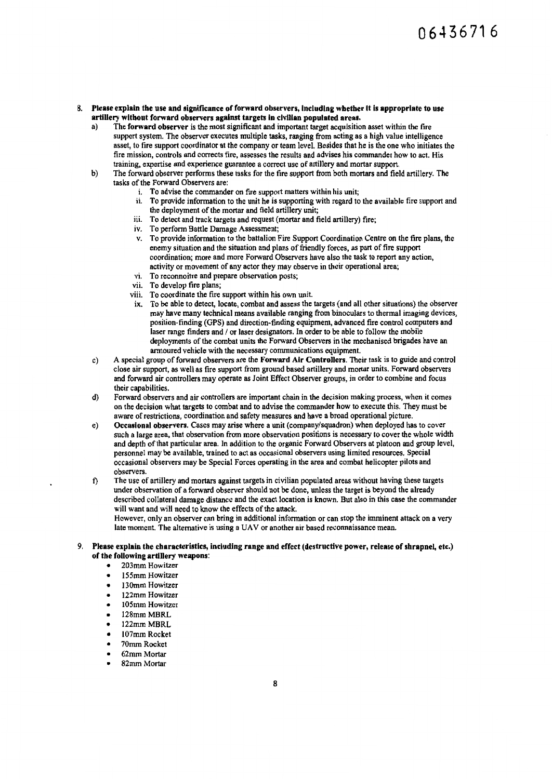### 8. Please explain the use and significance of forward observers, including whether it is appropriate to use artillery without forward observers against targets in civilian populated areas.<br>a) The forward observer is the most significant and important target acquisition

- The forward observer is the most significant and important target acquisition asset within the fire support system. The observer executes multiple tasks, ranging from acting as a high value intelligence asset, to fire support coordinator at the company or team level. Besides that he is the one who initiates the fire mission, controls and corrects fire, assesses the results and advises his commander how to act. His training, expertise and experience guarantee a correct use of artillery and mortar support.
- b) The forward observer performs these tasks for the fire support from both mortars and field arti!lery. The tasks of the Forward Observers are:
	- i. To advise the commander on fire support matters within his unit;
	- ii. To provide information to the unit he is supporting with regard to the available fire support and the deployment of the mortar and field artillery unit;
	- iii. To detect and track targets and request (mortar and field artillery) fire;
	- iv. To perform Battle Damage Assessment;
	- v. To provide information to the battalion Fire Support Coordination Centre on the fire plans, the enemy situation and the situation and plans of friendly forces, as part of fire support coordination; more and more Forward Observers have also the task to report any action, activity or movement of any actor they may observe in their operational area;
	- vi. To reconnoitre and prepare observation posts;<br>vii. To develop fire plans;
	- To develop fire plans;
	- viii. To coordinate the fire support within his own unit.
	- ix. To be able to detect, locate, combat and assess the targets (and all other situations) the observer may have many technical means available ranging from binoculars to thermal imaging devices, position-finding (GPS) and direction-finding equipment, advanced fire control computers and laser range finders and / or laser designators. In order to be able to follow the mobile deployments of the combat units the Forward Observers in the mechanised brigades have an armoured vehicle with the necessary conununications equipment.
- c) A special group of forward observers are the Forward Air Controllers. Their task is to guide and control close air support, as well as fire support from ground based artillery and mortar units. Forward observers and forward air controllers may operate as Joint Effect Observer groups, in order to combine and focus their capabilities.
- d) Forward observers and air controllers are important chain in the decision making process, when it comes on the decision what targets to combat and to advise the commander how to execute this. They must be aware of restrictions, coordination and safety measures and have a broad operational picture.
- e) Occasional observers. Cases may arise where a unit (company/squadron) when deployed has to cover such a large area, that observation from more observation positions is necessary to cover the whole width and depth of that particular area. In addition to the organic Forward Observers at platoon and group level, personnel may be available, trained to act as occasional observers using limited resources. Special occasional observers may be Special Forces operating in the area and combat helicopter pilots and observers.
- t) The use of artillery and mortars against targets in civilian populated areas without having these targets under observation of a forward observer should not be done, unless the target is beyond the already described collateral damage distance and the exact location is known. But also in this case the commander will want and will need to know the effects of the attack.

However, only an observer can bring in additional information or can stop the imminent attack on a very late moment. The alternative is using a UAV or another air based reconnaissance mean.

#### 9. Please explain the characteristics, including range and effect (destructive power, release of shrapnel, etc.) of the following artillery weapons:

- 203mm Howitzer
- 155mm Howitzer
- 130mm Howitzer
- 122mm Howitzer
- 105mm Howitzer
- 128mm MBRL
- 122mmMBRL
- I07mm Rocket
- 
- 70mm Rocket • 62mm Mortar
- 
- 82mm Mortar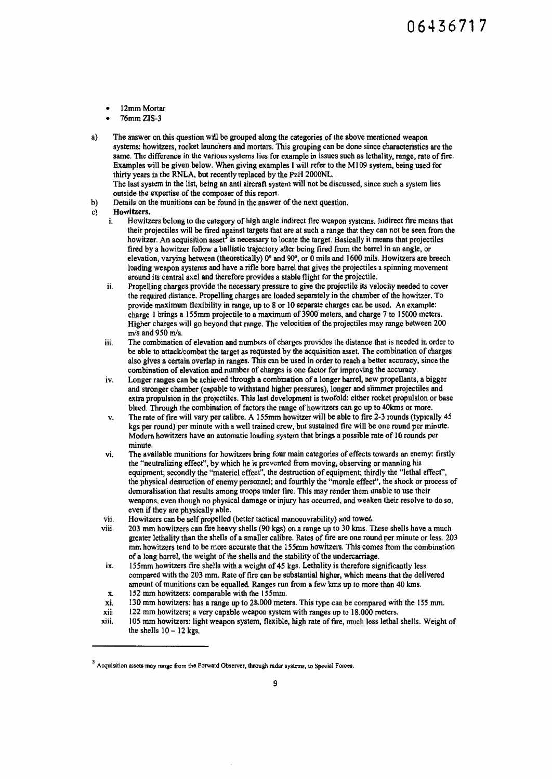- 12mm Mortar
- 76mmZIS-3
- a) The answer on this question will be grouped along the categories of the above mentioned weapon systems: howitzers, rocket launchers and mortars. This grouping can be done since characteristics are the same. The difference in the various systems lies for example in issues such as lethality, range, rate of fire. Examples will be given below. When giving examples I will refer to the Ml 09 system, being used for thirty years in the RNLA, but recently replaced by the PzH 2000NL.

The last system in the list, being an anti aircraft system will not be discussed, since such a system lies outside the expertise of the composer of this report.

b) Details on the munitions can be found in the answer of the next question.

### c) Howitzers.<br>i. Howitz

- 1. Howitzers belong to the category of high angle indirect fire weapon systems. Indirect fire means that their projectiles will be fired against targets that are at such a range that they can not be seen from the howitzer. An acquisition asset<sup>3</sup> is necessary to locate the target. Basically it means that projectiles fired by a howitzer follow a ballistic trajectory after being fired from the barrel in an angle, or elevation, varying between (theoreticaUy) 0° and 90", or 0 mils and 1600 mils. Howitzers are breech loading weapon systems and have a rifle bore barrel that gives the projectiles a spinning movement around its central axel and therefore provides a stable flight for the projectile.
- ii. Propelling charges provide the necessary pressure to give the projectile its velocity needed to cover the required distance. Propelling charges are loaded separately in the chamber of the howitzer. To provide maximum flexibility in range, up to 8 or 10 separate charges can be used. An example: charge I brings a l 55mm projectile to a maximum of 3900 meters, and charge 7 to 15000 meters. Higher charges will go beyond that range. The velocities of the projectiles may range between 200 m/s and 950 m/s.
- iii. The combination of elevation and numbers of charges provides the distance that is needed in order to be able to attack/combat the target as requested by the acquisition asset. The combination of charges also gives a certain overlap in ranges. This can be used in order to reach a better accuracy, since the combination of elevation and number of charges is one factor for improving the accuracy.
- iv. Longer ranges can be achieved through a combination of a longer barrel, new propellants, a bigger and stronger chamber (capable to withstand higher pressures), longer and slimmer projectiles and extra propulsion in the projectiles. This last development is twofold: either rocket propulsion or base bleed. Through the combination of factors the range of howitzers can go up to 40kms or more.
- v. The rate of fire will vary per calibre. A 155mm howitzer will be able to fire 2-3 rounds (typically 45 kgs per round) per minute with a well trained crew, but sustained fire will be one round per minute. Modem howitzers have an automatic loading system that brings a possible rate of 10 rounds per minute.
- vi. The available munitions for howitzers bring four main categories of effects towards an enemy: firstly the "neutralizing effect", by which he is prevented from moving, observing or manning his equipment; secondly the "materiel effect", the destruction of equipment; thirdly the "lethal effect'', the physical destruction of enemy personnel; and fourthly the "morale effect", the shock or process of demoralisation that results among troops under fire. This may render them unable to use their weapons, even though no physical damage or injury has occurred, and weaken their resolve to do so, even if they are physically able.
- vii. Howitzers can be self propelled (better tactical manoeuvrability) and towed.<br>viii. 203 mm howitzers can fire heavy shells (90 kgs) on a range un to 30 kms. T
- 203 mm howitzers can fire heavy shells (90 kgs) on a range up to 30 kms. These shells have a much greater lethality than the shells of a smaller calibre. Rates of fire are one round per minute or less. 203 mm howitzers tend to be more accurate that the l55mm howitzers. This comes from the combination of a long barrel, the weight of the shells and the stability of the undercarriage.
- ix. 155mm howitzers fire shells with a weight of 45 kgs. Lethality is therefore significantly less compared with the 203 mm. Rate of fire can be substantial higher, which means that the delivered amount of munitions can be equalled. Ranges run from a few kms up to more than 40 kms.
- x. 152 mm howitzers: comparable with the 155mm.
- xi. 130 mm howitzers: has a range up to 28.000 meters. This type can be compared with the 155 mm.
- xii. 122 mm howitzers; a very capable weapon system with ranges up to 18.000 meters.
- xiii. 105 mm howitzers: light weapon system, flexible, high rate of fire, much less lethal shells. Weight of the shells  $10 - 12$  kgs.

 $3$  Acquisition assets may range from the Forward Observer, through radar systems, to Special Forces.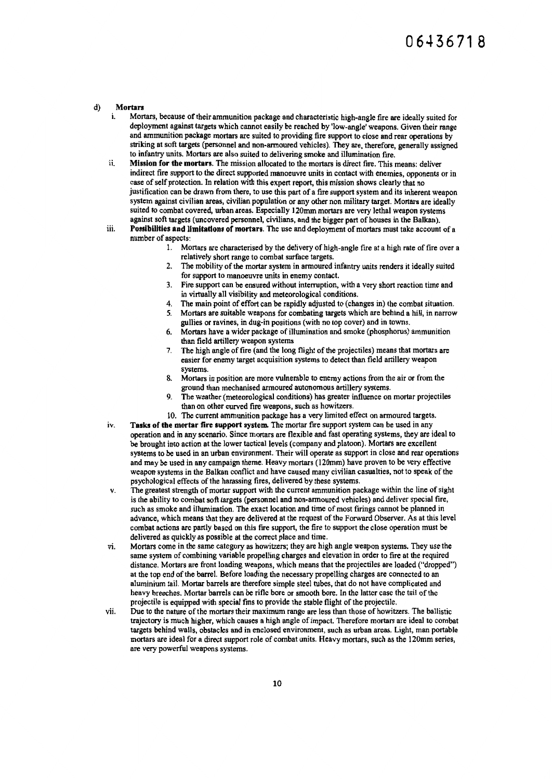### d) Mortars

- Mortars, because of their ammunition package and characteristic high-angle fire are ideally suited for deployment against targets which cannot easily be reached by 'low-angle' weapons. Given their range and ammunition package mortars are suited to providing fire support to close and rear operations by striking at soft targets (personnel and non-armoured vehicles). They are, therefore, generally assigned to infantry units. Mortars are also suited to delivering smoke and illumination fire.
- ii. Mission for the mortars. The mission allocated to the mortars is direct fire. This means: deliver indirect fire support to the direct supported manoeuvre units in contact with enemies, opponents or in case of self protection. In relation with this expert report, this mission shows clearly that no justification can be drawn from there, to use this part of a fire support system and its inherent weapon system against civilian areas, civilian population or any other non military target. Mortars are ideally suited to combat covered, urban areas. Especially I 20mm mortars arc very lethal weapon systems against soft targets (uncovered personnel, civilians, and the bigger part of houses in the Balkan).
- iii. Possibilities and limitations of mortars. The use and deployment of mortars must take account of a number of aspects:
	- I. Mortars are characterised by the delivery of high-angle fire at a high rate of fire over a relatively short range to combat surface targets.
	- 2. The mobility of the mortar system in armoured infantry units renders it ideally suited for support to manoeuvre units in enemy contact.
	- 3. Fire support can be ensured without interruption, with a very short reaction time and in virtually all visibility and meteorological conditions.
	- 4. The main point of effort can be rapidly adjusted to (changes in) the combat situation.
	- *5.* Mortars are suitable weapons for combating targets which are behind a hill, in narrow gullies or ravines, in dug-in positions (with no top cover) and in towns.
	- 6. Mortars have a wider package of illumination and smoke (phosphorus) ammunition than field artillery weapon systems
	- 7. The high angle of fire (and the long flight of the projectiles) means that mortars are easier for enemy target acquisition systems to detect than field artillery weapon systems.
	- 8. Mortars in position are more vulnerable to enemy actions from the air or from the ground than mechanised armoured autonomous artillery systems.
	- 9. The weather (meteorological conditions) has greater influence on mortar projectiles than on other curved fire weapons, such as howitzers.
	- 10. The current ammunition package has a very limited effect on armoured targets.
- iv. Tasks of the mortar fire support system. The mortar fire support system can be used in any operation and in any scenario. Since mortars are flexible and fast operating systems, they are ideal to be brought into action at the lower tactical levels (company and platoon). Mortars are excellent systems to be used in an urban environment. Their will operate as support in close and rear operations and may be used in any campaign theme. Heavy mortars (120mm) have proven to be very effective weapon systems in the Balkan conflict and have caused many civilian casualties, not to speak of the psychological effects of the harassing fires, delivered by these systems.
- v. The greatest strength of mortar support with the current ammunition package within the line of sight is the ability to combat soft targets (personnel and non-armoured vehicles) and deliver special fire, such as smoke and illumination. The exact location and time of most firings cannot be planned in advance, which means that they arc delivered at the request of the Forward Observer. As at this level combat actions are partly based on this fire support, the fire to support the close operation must be delivered as quickly as possible at the correct place and time.
- vi. Mortars come in the same category as howitzers; they are high angle weapon systems. They use the same system of combining variable propelling charges and elevation in order to fire at the required distance. Mortars are front loading weapons, which means that the projectiles are loaded ("dropped") at the top end of the barrel. Before loading the necessary propelling charges are connected to an aluminium tail. Mortar barrels are therefore simple steel tubes, that do not have complicated and heavy breeches. Mortar barrels can be rifle bore or smooth bore. In the latter case the tail of the projectile is equipped with special fms to provide the stable flight of the projectile.
- vii. Due to the nature of the mortars their maximum range are less than those of howitzers. The ballistic trajectory is much higher, which causes a high angle of impact. Therefore mortars are ideal to combat targets behind walls, obstacles and in enclosed environment, such as urban areas. Light, man portable mortars are ideal for a direct support role of combat units. Heavy mortars, such as the l 20mm series, are very powerful weapons systems.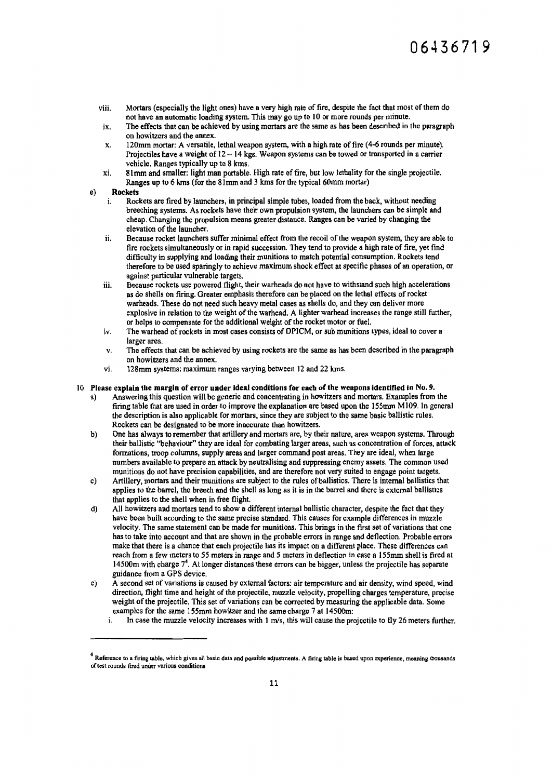- viii. Mortars (especially the light ones) have a very high rate offire, despite the fact that most of them do not have an automatic loading system. This may go up to 10 or more rounds per minute.
- ix. The effects that can be achieved by using mortars are the same as has been described in the paragraph on howitzers and the annex.
- x. 120mm mortar: A versatile, lethal weapon system, with a high rate of fire (4-6 rounds per minute). Projectiles have a weight of 12 - 14 kgs. Weapon systems can be towed or transported in a carrier vehicle. Ranges typically up to 8 kms.
- xi. 81 mm and smaller: light man portable. High rate of fire, but low lethality for the single projectile. Ranges up to 6 kms (for the Simm and 3 kms for the typical 60mm mortar)

#### e) Rockets

- i. Rockets are fired by launchers, in principal simple tubes, loaded from the back, without needing breeching systems. As rockets have their own propulsion system, the launchers can be simple and cheap. Changing the propulsion means greater distance. Ranges can be varied by changing the elevation of the launcher.
- ii. Because rocket launchers suffer minimal effect from the recoil of the weapon system, they are able to fire rockets simultaneously or in rapid succession. They tend to provide a high rate of fire, yet find difficulty in supplying and loading their munitions to match potential consumption. Rockets tend therefore to be used sparingly to achieve maximum shock effect at specific phases of an operation, or against particular vulnerable targets.
- iii. Because rockets use powered flight, their warheads do not have to withstand such high accelerations as do shells on firing. Greater emphasis therefore can be placed on the lethal effects of rocket warheads. These do not need such heavy metal cases as shells do, and they can deliver more explosive in relation to the weight of the warhead. A lighter warhead increases the range still further, or helps to compensate for the additional weight of the rocket motor or fuel.
- iv. The warhead of rockets in most cases consists of DPICM, or sub munitions types, ideal to cover a larger area.
- v. The effects that can be achieved by using rockets are the same as has been described in the paragraph on howitzers and the annex.
- vi. 128mm systems: maximum ranges varying between 12 and 22 kms.

#### 10. Please explain the margin of error under ideal conditions for each of the weapons identified in No. 9.

- a) Answering this question will be generic and concentrating in howitzers and mortars. Examples from the firing table that are used in order to improve the explanation are based upon the 155mm M109. In general the description is also applicable for mortars, since they are subject to the same basic ballistic rules. Rockets can be designated to be more inaccurate than howitzers.
- b) One has always to remember that artillery and mortars are, by their nature, area weapon systems. Through their ballistic "behaviour" they are ideal for combating larger areas, such as concentration of forces, attack formations, troop columns, supply areas and larger command post areas. They are ideal, when large numbers available to prepare an attack by neutralising and suppressing enemy assets. The common used munitions do not have precision capabilities, and are therefore not very suited to engage point targets.
- c) Artillery, mortars and their munitions are subject to the rules of ballistics. There is internal ballistics that applies to the barrel, the breech and the shell as long as it is in the barrel and there is external ballistics that applies to the shell when in free flight.
- d) All howitzers and mortars tend to show a different internal ballistic character, despite the fact that they have been built according to the same precise standard. This causes for example differences in muzzle velocity. The same statement can be made for munitions. This brings in the first set of variations that one has to take into account and that are shown in the probable errors in range and deflection. Probable errors make that there is a chance that each projectile has its impact on a different place. These differences can reach from a few meters to *55* meters in range and *5* meters in deflection in case a I SSmm shell is fired at 14500m with charge  $7<sup>4</sup>$ . At longer distances these errors can be bigger, unless the projectile has separate guidance from a GPS device.
- e) A second set of variations is caused by external factors: air temperature and air density, wind speed, wind direction, flight time and height of the projectile, muzzle velocity, propelling charges temperature, precise weight of the projectile. This set of variations can be corrected by measuring the applicable data. Some examples for the same l 55mm howitzer and the same charge 7 at I 4500m:
	- $1.$  In case the muzzle velocity increases with  $1 \text{ m/s}$ , this will cause the projectile to fly 26 meters further.

<sup>&</sup>lt;sup>4</sup> Reference to a firing table, which gives all basic data and possible adjustments. A firing table is based upon experience, meaning thousands of test rounds fired under various conditions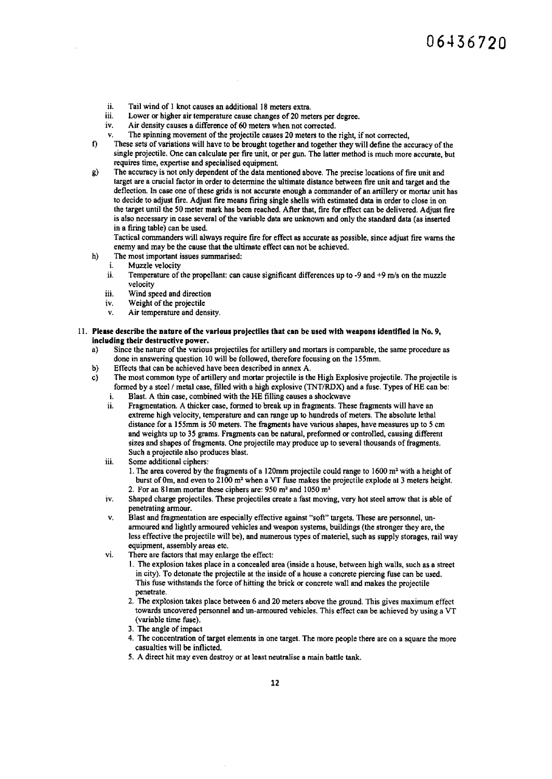- ii. Tail wind of 1 knot causes an additional 18 meters extra.<br>iii. Lower or higher air temperature cause changes of 20 met
- iii. Lower or higher air temperature cause changes of 20 meters per degree.<br>iv. Air density causes a difference of 60 meters when not corrected.
- Air density causes a difference of 60 meters when not corrected.
- v. The spinning movement of the projectile causes 20 meters to the right, if not corrected,
- t) These sets of variations will have to be brought together and together they will define the accuracy of the single projectile. One can calculate per fire unit, or per gun. The latter method is much more accurate, but requires time, expertise and specialised equipment.
- g) The accuracy is not only dependent of the data mentioned above. The precise locations of fire unit and target are a crucial factor in order to determine the ultimate distance between fire unit and target and the deflection. In case one of these grids is not accurate enough a commander of an artiltery or mortar unit has to decide to adjust fire. Adjust fire means firing single shells with estimated data in order to close in on the target until the SO meter mark has been reached. After that, fire for effect can be delivered. Adjust fire is also necessary in case several of the variable data are unknown and only the standard data (as inserted in a firing table) can be used.

Tactical commanders will always require fire for effect as accurate as possible, since adjust fire warns the enemy and may be the cause that the ultimate effect can not be achieved.

- h) The most important issues summarised:<br>i. Muzzle velocity
	- i. Muzzle velocity<br>ii. Temperature of
	- Temperature of the propellant: can cause significant differences up to -9 and +9 m/s on the muzzle velocity
	- iii. Wind speed and direction
	- iv. Weight of the projectile
	- v. Air temperature and density.
- 11. Please describe the nature of the various projectiles that can be used with weapons identified in No. 9, including their destructive power.
	- a) Since the nature of the various projectiles for artillery and mortars is comparable, the same procedure as done in answering question 10 will be followed, therefore focusing on the 155mm.
	- b) Effects that can be achieved have been described in annex A.<br>c) The most common type of artillery and mortar projectile is the
	- c) The most common type of artillery and mortar projectile is the High Explosive projectile. The projectile is formed by a steel / metal case, filled with a high explosive (TNT/RDX) and a fuse. Types of HE can be:
		- i. Blast. A thin case, combined with the HE filling causes a shockwave ii. Fragmentation. A thicker case, formed to break up in fragments. The
		- 11. Fragmentation. A thicker case, formed to break up in fragments. These fragments will have an extreme high velocity, temperature and can range up to hundreds of meters. The absolute lethal distance for a 1 S5mm is SO meters. The fragments have various shapes, have measures up to *5* cm and weights up to 35 grams. Fragments can be natural, preformed or controlled, causing different sizes and shapes of fragments. One projectile may produce up to several thousands of fragments. Such a projectile also produces blast.
		- iii. Some additional ciphers:
			- 1. The area covered by the fragments of a 120mm projectile could range to 1600  $m<sup>2</sup>$  with a height of burst of 0m, and even to  $2100 \text{ m}^2$  when a VT fuse makes the projectile explode at 3 meters height. 2. For an Simm mortar these ciphers are: 950 m' and IOSO m'
		- iv. Shaped charge projectiles. These projectiles create a fast moving, very hot steel arrow that is able of penetrating armour.
		- v. Blast and fragmentation are especially effective against "soft" targets. These are personnel, unarmoured and lightly armoured vehicles and weapon systems, buildings (the stronger they are, the less effective the projectile will be), and numerous types of materiel, such as supply storages, rail way equipment, assembly areas etc.
		- vi. There are factors that may enlarge the effect:
			- I. The explosion takes place in a concealed area (inside a house, between high walls, such as a street in city). To detonate the projectile at the inside of a house a concrete piercing fuse can be used. This fuse withstands the force of hitting the brick or concrete wall and makes the projectile penetrate.
			- 2. The explosion takes place between 6 and 20 meters above the ground. This gives maximum effect towards uncovered personnel and un-armoured vehicles. This effect can be achieved by using a VT (variable time fuse).
			- 3. The angle of impact
			- 4. The concentration of target elements in one target. The more people there are on a square the more casualties will be inflicted.
			- 5. A direct hit may even destroy or at least neutralise a main battle tank.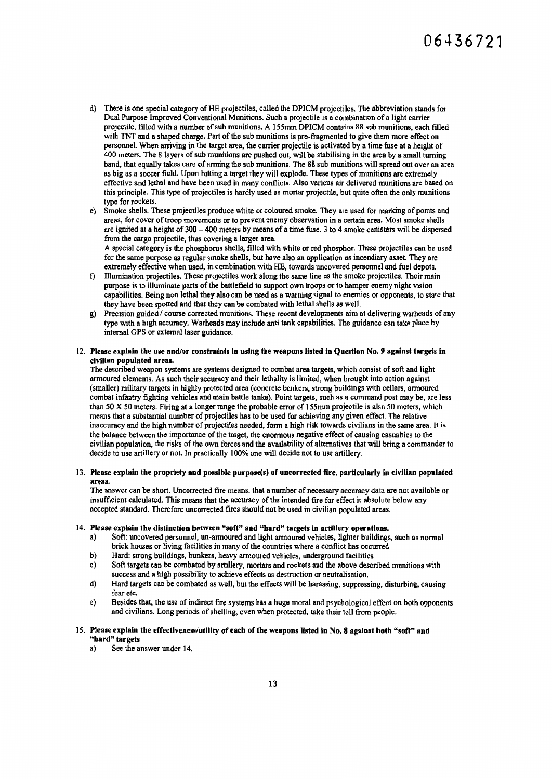- d) There is one special category of HE projectiles, called the DPICM projectiles. The abbreviation stands for Dual Purpose Improved Conventional Munitions. Such a projectile is a combination of a light carrier projectile, filled with a number of sub munitions. A l 55mm DPICM contains 88 sub munitions, each filled with TNT and a shaped charge. Part of the sub munitions is pre-fragmented to give them more effect on personnel. When arriving in the target area, the carrier projectile is activated by a time fuse at a height of 400 meters. The 8 layers of sub munitions are pushed out, will be stabilising in the area by a small turning band, that equally takes care of arming the sub munitions. The 88 sub munitions will spread out over an area as big as a soccer field. Upon hitting a target they will explode. These types of munitions are extremely effective and lethal and have been used in many conflicts. Also various air delivered munitions are based on this principle. This type of projectiles is hardly used as mortar projectile, but quite often the only munitions type for rockets.
- e) Smoke shells. These projectiles produce white or coloured smoke. They are used for marking of points and areas, for cover of troop movements or to prevent enemy observation in a certain area. Most smoke shells are ignited at a height of 300 - 400 meters by means of a time fuse. 3 to 4 smoke canisters will be dispersed from the cargo projectile, thus covering a larger area. A special category is the phosphorus shells, filled with white or red phosphor. These projectiles can be used

for the same purpose as regular smoke shells, but have also an application as incendiary asset. They are extremely effective when used, in combination with HE, towards uncovered personnel and fuel depots.

- f) Illumination projectiles. These projectiles work along the same line as the smoke projectiles. Their main purpose is to illuminate parts of the battlefield to support own troops or to hamper enemy night vision capabilities. Being non lethal they also can be used as a warning signal to enemies or opponents, to state that they have been spotted and that they can be combated with lethal shells as well.
- g) Precision guided / course corrected munitions. These recent developments aim at delivering warheads of any type with a high accuracy. Warheads may include anti tank capabilities. The guidance can take place by internal OPS or external laser guidance.
- 12. Please explain the use and/or constraints In using the weapons listed In Question No. 9 against targets In civilian populated areas.

The described weapon systems are systems designed to combat area targets, which consist of soft and light armoured elements. As such their accuracy and their lethality is limited, when brought into action against (smaller) military targets in highly protected area (concrete bunkers, strong buildings with cellars, armoured combat infantry fighting vehicles and main battle tanks). Point targets, such as a command post may be, are less than 50 X 50 meters. Firing at a longer range the probable error of ISSmm projectile is also 50 meters, which means that a substantial number of projectiles has to be used for achieving any given effect. The relative inaccuracy and the high number of projectiles needed, form a high risk towards civilians in the same area. It is the balance between the importance of the target, the enormous negative effect of causing casualties to the civilian population, the risks of the own forces and the availability of alternatives that will bring a commander to decide to use artillery or not. In practically 100% one will decide not to use artillery.

13. Please explain the propriety and possible purpose(s) of uncorrected fire, particularly in civilian populated areas.

The answer can be short. Uncorrected fire means, that a number of necessary accuracy data are not available or insufficient calculated. This means that the accuracy of the intended fire for effect is absolute below any accepted standard. Therefore uncorrected fires should not be used in civilian populated areas.

#### 14. Please explain the distinction between "soft" and "hard" targets in artillery operations.

- a) Soft: uncovered personnel, un-armoured and light annoured vehicles, lighter buildings, such as normal brick houses or living facilities in many of the countries where a conflict has occurred.
- b) Hard: strong buildings, bunkers, heavy armoured vehicles, underground facilities
- c) Soft targets can be combated by artillery, mortars and rockets and the above described munitions with success and a high possibility to achieve effects as destruction or neutralisation.
- d) Hard targets can be combated as well, but the effects will be harassing, suppressing, disturbing, causing fear etc.
- e) Besides that, the use of indirect fire systems has a huge moral and psychological effect on both opponents and civilians. Long periods of shelling, even when protected, take their toll from people.

#### 15. Please explain the effectiveness/utility of each of the weapons listed in No. 8 against both "soft" and "hard" targets

a) See the answer under 14.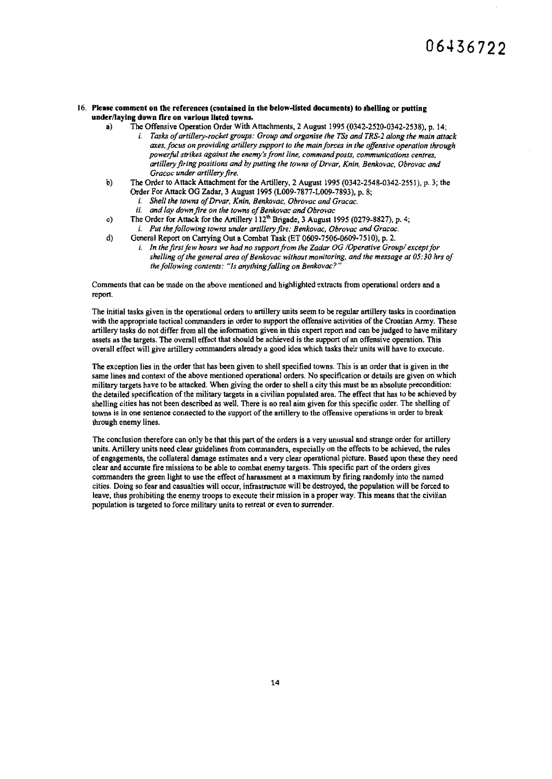### 16. Please comment on the references (contained in the below-listed documents) to shelling or putting under/laying down fire on various listed towns.<br>a) The Offensive Operation Order With

- The Offensive Operation Order With Attachments, 2 August 1995 (0342-2520-0342-2538), p. 14; i. *Tasks of artillery-rocket groups: Group and organise the TSs and TRS-2 along the main attack axes, focus on providing artillery support to the main forces in the offensive operation through powerful strikes against the enemy's front line, command posts, communications centres, artillery firing positions and by putting the towns of Drvar, Knin, Benkovac. Obrovac and Gracac under artillery fire.*
- b) The Order to Attack Attachment for the Artillery, 2 August 1995 (0342-2548-0342-2551), p. 3; the Order For Attack OG Zadar, 3 August 1995 (L009-7877-L009-7893), p. 8;
	- i. *Shell the towns of Drvar. Knin. Benkovac, Obrovac and Gracac.*
	- ii. *and lay down fire on the towns of Benkovac and Obrovac*
- c) The Order for Attack for the Artillery 112<sup>th</sup> Brigade, 3 August 1995 (0279-8827), p. 4; i. *Put the following towns under artillery fire: Benkovac, Ohrovac and Gracac.*
- d) General Report on Carrying Out a Combat Task (ET 0609-7506-0609-7510), p. 2.
	- i. In the first few hours we had no support from the Zadar OG /Operative Group/ except for *shelling of the general area of Benkovac without monitoring, and the message at 05: 30 hrs of*  the following contents: "Is anything falling on Benkovac?"

Comments that can be made on the above mentioned and highlighted extracts from operational orders and a report.

The initial tasks given in the operational orders to artillery units seem to be regular artillery tasks in coordination with the appropriate tactical commanders in order to support the offensive activities of the Croatian Anny. These artillery tasks do not differ from all the infonnation given in this expert report and can be judged to have military assets as the targets. The overall effect that should be achieved is the support of an offensive operation. This overall effect will give artillery commanders already a good idea which tasks their units will have to execute.

The exception lies in the order that has been given to shell specified towns. This is an order that is given in the same lines and context of the above mentioned operational orders. No specification or details are given on which military targets have to be attacked. When giving the order to shell a city this must be an absolute precondition: the detailed specification of the military targets in a civilian populated area. The effect that has to be achieved by shelling cities has not been described as well. There is no real aim given for this specific order. The shelling of towns is in one sentence connected to the support of the artillery to the offensive operations in order to break through enemy lines.

The conclusion therefore can only be that this part of the orders is a very unusual and strange order for artillery units. Artillery units need clear guidelines from commanders, especially on the effects to be achieved, the rules of engagements, the collateral damage estimates and a very clear operational picture. Based upon these they need clear and accurate fire missions to be able to combat enemy targets. This specific part of the orders gives commanders the green light to use the effect of harassment at a maximum by firing randomly into the named cities. Doing so fear and casualties will occur, infrastructure will be destroyed, the population will be forced to leave, thus prohibiting the enemy troops to execute their mission in a proper way. This means that the civilian population is targeted to force military units to retreat or even to surrender.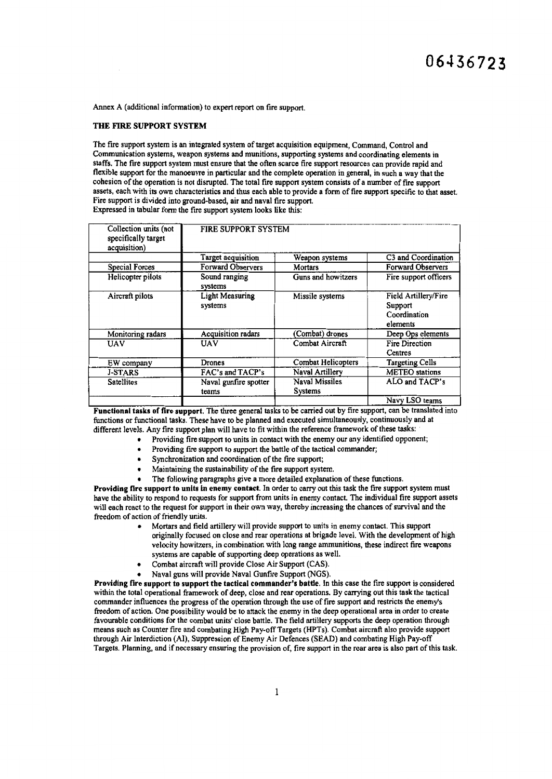Annex A (additional information) to expert report on fire support.

#### THE FIRE SUPPORT SYSTEM

The fire support system is an integrated system of target acquisition equipment, Command, Control and Communication systems, weapon systems and munitions, supporting systems and coordinating elements in staffs. The fire support system must ensure that the often scarce fire support resources can provide rapid and flexible support for the manoeuvre in particular and the complete operation in general, in such a way that the cohesion of the operation is not disrupted. The total fire support system consists of a number of fire support assets, each with its own characteristics and thus each able to provide a form of fire support specific to that asset. Fire support is divided into ground-based, air and naval fire support. Expressed in tabular form the fire support system looks like this:

| Collection units (not<br>specifically target<br>acquisition) | FIRE SUPPORT SYSTEM               |                                         |                                                             |
|--------------------------------------------------------------|-----------------------------------|-----------------------------------------|-------------------------------------------------------------|
|                                                              | <b>Target acquisition</b>         | Weapon systems                          | C3 and Coordination                                         |
| Special Forces                                               | Forward Observers                 | Mortars                                 | Forward Observers                                           |
| Helicopter pilots                                            | Sound ranging<br>systems          | Guns and howitzers                      | Fire support officers                                       |
| Aircraft pilots                                              | <b>Light Measuring</b><br>systems | Missile systems                         | Field Artillery/Fire<br>Support<br>Coordination<br>elements |
| Monitoring radars                                            | <b>Acquisition</b> radars         | (Combat) drones                         | Deep Ops elements                                           |
| UAV                                                          | UAV                               | Combat Aircraft                         | Fire Direction<br>Centres                                   |
| EW company                                                   | Drones                            | Combat Helicopters                      | <b>Targeting Cells</b>                                      |
| <b>J-STARS</b>                                               | FAC's and TACP's                  | Naval Artillery                         | <b>METEO</b> stations                                       |
| <b>Satellites</b>                                            | Naval gunfire spotter<br>teams    | <b>Naval Missiles</b><br><b>Systems</b> | ALO and TACP's                                              |
|                                                              |                                   |                                         | Navy LSO teams                                              |

Functional tasks of fire support. The three general tasks to be carried out by fire support, can be translated mto functions or functional tasks. These have to be planned and executed simultaneously, continuously and at different levels. Any fire support plan will have to fit within the reference framework of these tasks: ·

- Providing fire support to units in contact with the enemy our any identified opponent;
	- Providing fire support to support the battle of the tactical commander;
- Synchronization and coordination of the fire support;
- Maintaining the sustainability of the fire support system.
- The following paragraphs give a more detailed explanation of these functions.

Providing fire support to units In enemy contact. In order to carry out this task the fire support system must have the ability to respond to requests for support from units in enemy contact. The individual fire support assets will each react to the request for support in their own way, thereby increasing the chances of survival and the freedom of action of friendly units.

- Mortars and field artillery will provide support to units in enemy contact. This support originally focused on close and rear operations at brigade level. With the development of high velocity howitzers, in combination with long range ammunitions, these indirect fire weapons systems are capable of supporting deep operations as well.
- Combat aircraft will provide Close Air Support (CAS).
- Naval guns will provide Naval Gunfire Support (NGS).

Providing fire support to support the tactical commander's battle. In this case the fire support is considered within the total operational framework of deep, close and rear operations. By carrying out this task the tactical commander influences the progress of the operation through the use of fire support and restricts the enemy's freedom of action. One possibility would be to attack the enemy in the deep operational area in order to create favourable conditions for the combat units' close battle. The field artillery supports the deep operation through means such as Counter fire and combating High Pay-off Targets (HPTs). Combat aircraft also provide support through Air Interdiction (Al), Suppression of Enemy Air Defences (SEAD) and combating High Pay-off Targets. Planning, and if necessary ensuring the provision of, fire support in the rear area is also part of this task.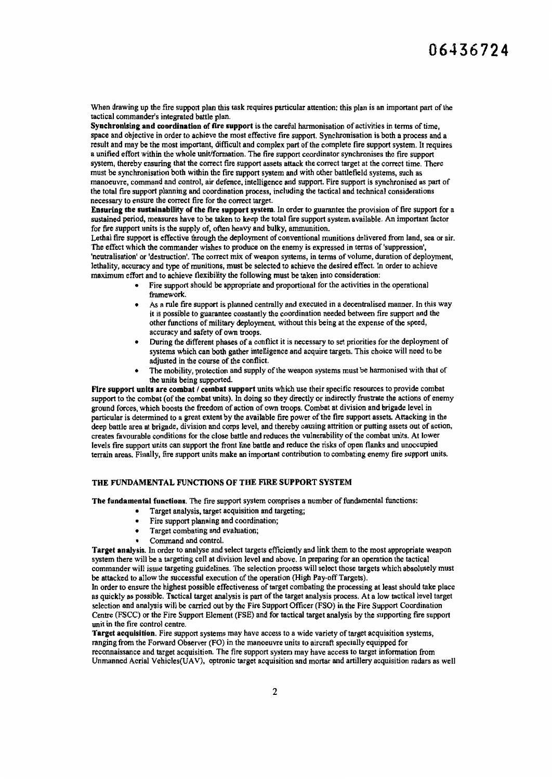When drawing up the fire support plan this task requires particular attention; this plan is an important part of the tactical commander's integrated battle plan.

Synchronising and coordination of fire support is the careful harmonisation of activities in terms of time, space and objective in order to achieve the most effective fire support. Synchronisation is both a process and a result and may be the most important, difficult and complex part of the complete fire support system. It requires a unified effort within the whole unit/formation. The fire support coordinator synchronises the fire support system, thereby ensuring that the correct fire support assets attack the correct target at the correct time. There must be synchronisation both within the fire support system and with other battlefield systems, such as manoeuvre, command and control, air defence, intelligence and support. Fire support is synchronised as part of the total fire support planning and coordination process, including the tactical and technical considerations necessary to ensure the correct fire for the correct target.

Ensuring the sustainability of the fire support system. In order to guarantee the provision of fire support for a sustained period, measures have to be taken to keep the total fire support system available. An important factor for fire support units is the supply of, often heavy and bulky, ammunition.

Lethal fire support is effective through the deployment of conventional munitions delivered from land, sea or air. The effect which the commander wishes to produce on the enemy is expressed in terms of 'suppression', 'neutralisation' or 'destruction'. The correct mix of weapon systems, in tenns of volume, duration of deployment, lethality, accuracy and type of munitions, must be selected to achieve the desired effect. In order to achieve maximum effort and to achieve flexibility the following must be taken into consideration:

- Fire support should be appropriate and proportional for the activities in the operational framework.
- As a rule fire support is planned centrally and executed in a decentralised manner. In this way it is possible to guarantee constantly the coordination needed between fire support and the other functions of military deployment, without this being at the expense of the speed, accuracy and safety of own troops.
- During the different phases of a conflict it is necessary to set priorities for the deployment of systems which can both gather intelligence and acquire targets. This choice will need to be adjusted in the course of the conflict.
- The mobility, protection and supply of the weapon systems must be harmonised with that of the units being supported.

Fire support units are combat / combat support units which use their specific resources to provide combat support to the combat (of the combat units). In doing so they directly or indirectly frustrate the actions of enemy ground forces, which boosts the freedom of action of own troops. Combat at division and brigade leve 1 in particular is determined to a great extent by the available fire power of the fire support assets. Attacking in the deep battle area at brigade, division and corps level, and thereby causing attrition or putting assets out of action, creates favourable conditions for the close battle and reduces the vulnerability of the combat units. At lower levels fire support units can support the front line battle and reduce the risks of open flanks and unoccupied terrain areas. Finally, fire support units make an important contribution to combating enemy fire support units.

### THE FUNDAMENTAL FUNCTIONS OF THE FIRE SUPPORT SYSTEM

The fundamental functions. The fire support system comprises a number of fundamental functions:

- Target analysis, target acquisition and targeting;
- Fire support planning and coordination;
- Target combating and evaluation;
- Command and control.

Target analysis. In order to analyse and select targets efficiently and link them to the most appropriate weapon system there will be a targeting cell at division level and above. In preparing for an operation the tactical commander will issue targeting guidelines. The selection process will select those targets which absolutely must be attacked to allow the successful execution of the operation (High Pay-off Targets).

In order to ensure the highest possible effectiveness of target combating the processing at least should take place as quickly as possible. Tactical target analysis is part of the target analysis process. At a low tactical level target selection and analysis will be carried out by the Fire Support Officer (FSO) in the Fire Support Coordination Centre (FSCC) or the Fire Support Element (FSE) and for tactical target analysis by the supporting fire support unit in the fire control centre.

Target acquisition. Fire support systems may have access to a wide variety of target acquisition systems, ranging from the Forward Observer (FO) in the manoeuvre units to aircraft specially equipped for reconnaissance and target acquisition. The fire support system may have access to target infonnation from Unmanned Aerial Vehicles(UA V), optronic target acquisition and mortar and artillery acquisition radars as well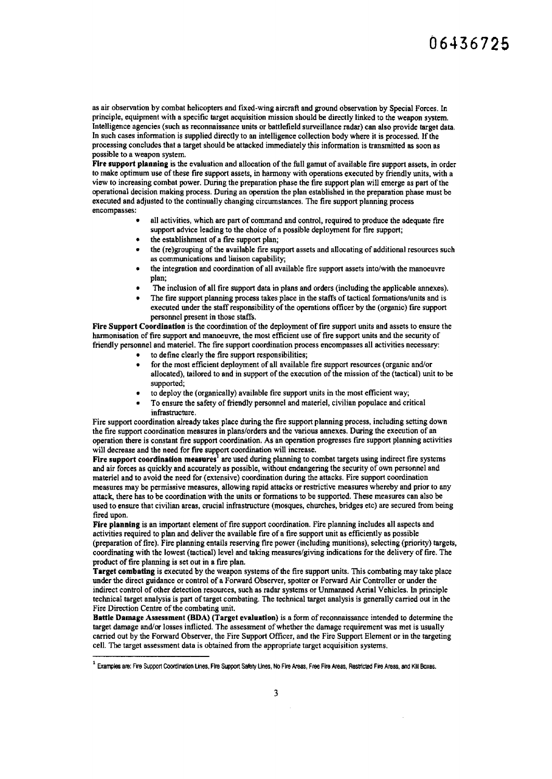as air observation by combat helicopters and fixed-wing aircraft and ground observation by Special Forces. In principle, equipment with a specific target acquisition mission should be directly linked to the weapon system. Intelligence agencies (such as reconnaissance units or battlefield surveillance radar) can also provide target data. In such cases infonnation is supplied directly to an intelligence collection body where it is processed. If the processing concludes that a target should be attacked immediately this infonnation is transmitted as soon as possible to a weapon system.

Fire support planning is the evaluation and allocation of the full gamut of available fire support assets, in order to make optimum use of these fire support assets, in hannony with operations executed by friendly units, with a view to increasing combat power. During the preparation phase the fire support plan will emerge as part of the operational decision making process. During an operation the plan established in the preparation phase must be executed and adjusted to the continually changing circumstances. The fire support planning process encompasses:

- all activities, which are part of command and control, required to produce the adequate fire support advice leading to the choice of a possible deployment for fire support;
- the establishment of a fire support plan;
- the (re)grouping of the available fire support assets and allocating of additional resources such as communications and liaison capability;
- the integration and coordination of all available fire support assets into/with the manoeuvre plan;
- The inclusion of all fire support data in plans and orders (including the applicable annexes).
- The fire support planning process takes place in the staffs of tactical fonnations/units and is executed under the staff responsibility of the operations officer by the (organic) fire support personnel present in those staffs.

Fire Support Coordination is the coordination of the deployment of fire support units and assets to ensure the harmonisation of fire support and manoeuvre, the most efficient use of fire support units and the security of friendly personnel and materiel. The fire support coordination process encompasses all activities necessary:

- to define clearly the fire support responsibilities;
- for the most efficient deployment of all available fire support resources (organic and/or allocated), tailored to and in support of the execution of the mission of the (tactical) unit to be supported;
- to deploy the (organically) available fire support units in the most efficient way;
- To ensure the safety of friendly personnel and materiel, civilian populace and critical infrastructure.

Fire support coordination already takes place during the fire support planning process, including setting down the fire support coordination measures in plans/orders and the various annexes. During the execution of an operation there is constant fire support coordination. As an operation progresses fire support planning activities will decrease and the need for fire support coordination will increase.

Fire support coordination measures<sup>1</sup> are used during planning to combat targets using indirect fire systems and air forces as quickly and accurately as possible, without endangering the security of own personnel and materiel and to avoid the need for (extensive) coordination during the attacks. Fire support coordination measures may be permissive measures, allowing rapid attacks or restrictive measures whereby and prior to any attack, there has to be coordination with the units or fonnations to be supported. These measures can also be used to ensure that civilian areas, crucial infrastructure (mosques, churches, bridges etc) are secured from being fired upon.

Fire planning is an important element of fire support coordination. Fire planning includes all aspects and activities required to plan and deliver the available fire of a fire support unit as efficiently as possible (preparation of fire). Fire planning entails reserving fire power (including munitions), selecting (priority) targets, coordinating with the lowest (tactical) level and taking measures/giving indications for the delivery of fire. The product of fire planning is set out in a fire plan.

Target combating is executed by the weapon systems of the fire support units. This combating may take place under the direct guidance or control of a Forward Observer, spotter or Forward Air Controller or under the indirect control of other detection resources, such as radar systems or Unmanned Aerial Vehicles. In principle technical target analysis is part of target combating. The technical target analysis is generally carried out in the Fire Direction Centre of the combating unit.

Battle Damage Assessment (BDA) (Target evaluation) is a form of reconnaissance intended to determine the target damage and/or losses inflicted. The assessment of whether the damage requirement was met is usually carried out by the Forward Observer, the Fire Support Officer, and the Fire Support Element or in the targeting cell. The target assessment data is obtained from the appropriate target acquisition systems.

<sup>&</sup>lt;sup>1</sup> Examples are: Fire Support Coordination Lines, Fire Support Safety Lines, No Fire Areas, Free Fire Areas, Restricted Fire Areas, and Kill Boxes.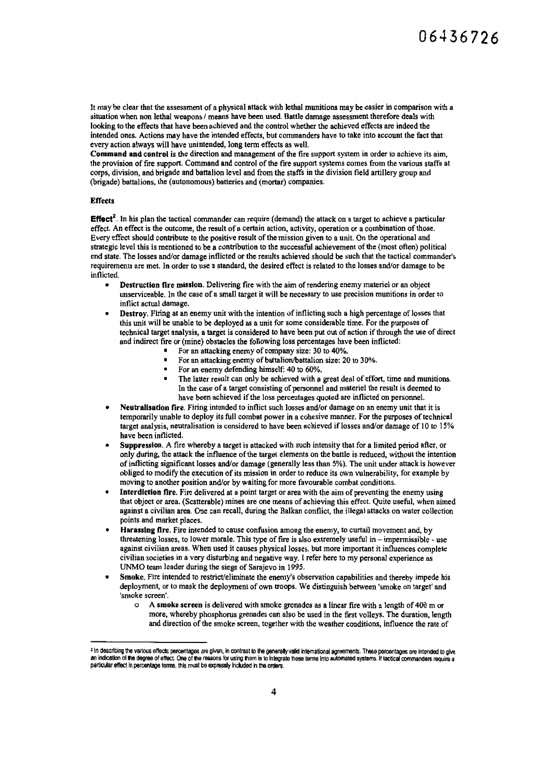It may be clear that the assessment of a physical attack with lethal munitions may be easier in comparison with a situation when non lethal weapons / means have been used. Battle damage assessment therefore deals with looking to the effects that have been achieved and the control whether the achieved effects are indeed the intended ones. Actions may have the intended effects, but commanders have to take into account the fact that every action always will have unintended, long term effects as well.

Command and control is the direction and management of the fire support system in order to achieve its aim, the provision of fire support. Command and control of the fire support systems comes from the various staffs at corps, division, and brigade and battalion level and from the staffs in the division field artillery group and (brigade) battalions, the (autonomous) batteries and (mortar) companies.

#### **Effects**

Effect<sup>2</sup>. In his plan the tactical commander can require (demand) the attack on a target to achieve a particular effect. An effect is the outcome, the result of a certain action, activity, operation or a combination of those. Every effect should contribute to the positive result of the mission given to a unit. On the operational and strategic level this is mentioned to be a contribution to the successful achievement of the (most often) political end state. The losses and/or damage inflicted or the results achieved should be such that the tactical commander's requirements arc met. In order to use a standard, the desired effect is related to the losses and/or damage to be inflicted.

- Destruction fire mission. Delivering fire with the aim of rendering enemy materiel or an object unserviceable. In the case of a small target it will be necessary to use precision munitions in order to inflict actual damage.
- Destroy. Firing at an enemy unit with the intention of inflicting such a high percentage of losses that this unit will be unable to be deployed as a unit for some considerable time. For the purposes of technical target analysis, a target is considered to have been put out of action if through the use of direct and indirect fire or (mine) obstacles the following loss percentages have been inflicted:
	- **•** For an attacking enemy of company size: 30 to 40%.
	- For an attacking enemy of battalion/battalion size: 20 to 30%.
	- For an enemy defending himself: 40 to 60%.
	- The latter result can only be achieved with a great deal of effort, time and munitions. In the case of a target consisting of personnel and materiel the result is deemed to have been achieved if the loss percentages quoted are inflicted on personnel.
- Neutralisation fire. Firing intended to inflict such losses and/or damage on an enemy unit that it is temporarily unable to deploy its full combat power in a cohesive manner. For the purposes of technical target analysis, neutralisation is considered to have been achieved if losses and/or damage of I 0 to I 5% have been inflicted.
- Suppression. A fire whereby a target is attacked with such intensity that for a limited period after, or only during, the attack the influence of the target elements on the battle is reduced, without the intention of inflicting significant losses and/or damage (generally less than 5%). The unit under attack is however obliged to modify the execution of its mission in order to reduce its own vulnerability, for example by moving to another position and/or by waiting for more favourable combat conditions.
- Interdiction fire. Fire delivered at a point target or area with the aim of preventing the enemy using that object or area. (Scatterable) mines are one means of achieving this effect. Quite useful, when aimed against a civilian area. One can recall, during the Balkan conflict, the illegal attacks on water collection points and market places.
- Harassing fire. Fire intended to cause confusion among the enemy, to curtail movement and, by threatening losses, to lower morale. This type of fire is also extremely useful in- impermissible - use against civilian areas. When used it causes physical losses, but more important it influences complete civilian societies in a very disturbing and negative way. I refer here to my personal experience as UNMO team leader during the siege of Sarajevo in 1995.
- Smoke. Fire intended to restrict/eliminate the enemy's observation capabilities and thereby impede his deployment, or to mask the deployment of own troops. We distinguish between 'smoke on target' and 'smoke screen'.
	- o A smoke screen is delivered with smoke grenades as a linear fire with a length of 400 m or more, whereby phosphorus grenades can also be used in the first volleys. The duration, length and direction of the smoke screen, together with the weather conditions, influence the rate of

<sup>&</sup>lt;sup>2</sup> In describing the various effects percentages are given, in contrast to the generally valid international agreements. These percentages are intended to give<br>an indication of the degree of effect. One of the reasons for particular effect in percentage terms, this must be expressly included in the orders.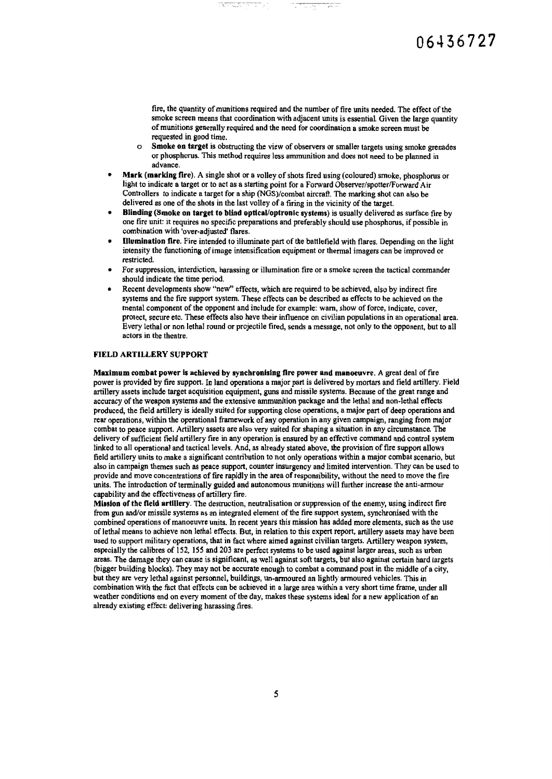fire, the quantity of mwiitions required and the number of fire units needed. The effect of the smoke screen means that coordination with adjacent units is essential. Given the large quantity of munitions generally required and the need for coordination a smoke screen must be requested in good time.

tina.<br>Album

- *o* Smoke on taraet is obstructing the view of observers or smaller targets using smoke grenades or phosphorus. This method requires less ammunition and does not need to be planned in advance.
- Mark (marking fire). A single shot or a volley of shots fired using (coloured) smoke, phosphorus or light to indicate a target or to act as a starting point for a Forward Observer/spotter/Forward Air Controllers to indicate a target for a ship (NGS)/combat aircraft. The marking shot can also be delivered as one of the shots in the last volley of a firing in the vicinity of the target.

- .,- ----- <sup>~</sup> t - -.. .....

- Blinding (Smoke on target to blind optical/optronic systems) is usually delivered as surface fire by one fire unit: it requires no specific preparations and preferably should use phosphorus, if possible in combination with 'over-adjusted' flares.
- Illumination fire. Fire intended to illuminate part of the battlefield with flares. Depending on the light intensity the functioning of image intensification equipment or thennal imagers can be improved or restricted.
- For suppression, interdiction, harassing or illumination fire or a smoke screen the tactical commander should indicate the time period.
- Recent developments show "new" effects, which are required to be achieved, also by indirect fire systems and the fire support system. These effects can be described as effects to be achieved on the mental component of the opponent and include for example: warn, show of force, indicate, cover, protect, secure etc. These effects also have their influence on civilian populations in an operational area. Every lethal or non lethal round or projectile fired, sends a message, not only to the opponent, but to all actors in the theatre.

#### FIELD ARTILLERY SUPPORT

Maximum combat power is achieved by synchronising fire power and manoeuvre. A great deal of fire power is provided by fire support. In land operations a major part is delivered by mortars and field artillery. Field artillery assets include target acquisition equipment, guns and missile systems. Because of the great range and accuracy of the weapon systems and the extensive ammunition package and the lethal and non-lethal effects produced, the field artillery is ideally suited for supporting close operations, a major part of deep operations and rear operations, within the operational framework of any operation in any given campaign, ranging from major combat to peace support. Artillery assets are also very suited for shaping a situation in any circumstance. The delivery of sufficient field artillery fire in any operation is ensured by an effective command and control system linked to all operational and tactical levels. And, as already stated above, the provision of fire support allows field artillery units to make a significant contribution to not only operations within a major combat scenario, but also in campaign themes such as peace support, counter insurgency and limited intervention. They can be used to provide and move concentrations of fire rapidly in the area of responsibility, without the need to move the fire units. The introduction of tenninally guided and autonomous munitions will further increase the anti-armour capability and the effectiveness of artillery fire.

Mission of the field artillery. The destruction, neutralisation or suppression of the enemy, using indirect fire from gun and/or missile systems as an integrated element of the fire support system, synchronised with the combined operations of manoeuvre units. In recent years this mission has added more elements, such as the use of lethal means to achieve non lethal effects. But, in relation to this expert report, artillery assets may have been used to support military operations, that in fact where aimed against civilian targets. Artillery weapon system, especially the calibres of 152, 155 and 203 are perfect systems to be used against larger areas, such as urban areas. The damage they can cause is significant, as well against soft targets, but also against certain hard targets (bigger building blocks). They may not be accurate enough to combat a command post in the middle of a city, but they are very lethal against personnel, buildings, un-armoured an lightly armoured vehicles. This in combination with the fact that effects can be achieved in a large area within a very short time frame, under all weather conditions and on every moment of the day, makes these systems ideal for a new application of an already existing effect: delivering harassing fires.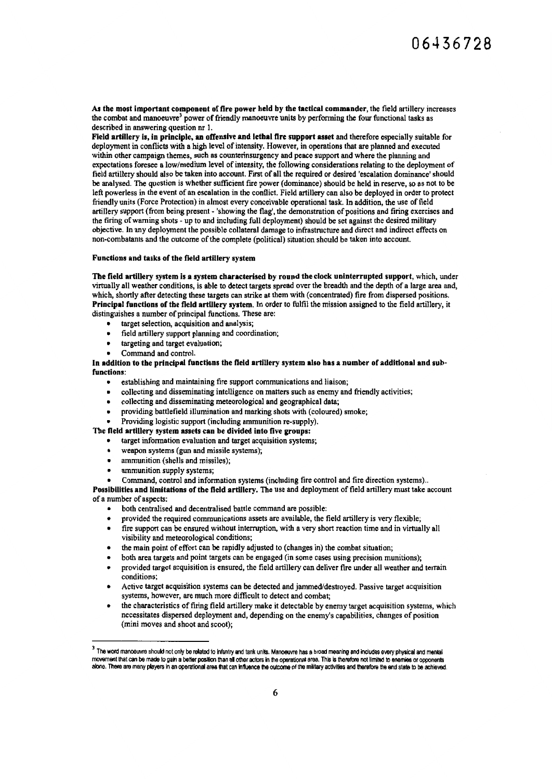As the most Important component of fire power held by the tactical commander, the field artillery increases the combat and manoeuvre<sup>3</sup> power of friendly manoeuvre units by performing the four functional tasks as described in answering question nr I.

Field artillery is, in principle, an offensive and lethal fire support asset and therefore especially suitable for deployment in conflicts with a high level of intensity. However, in operations that are planned and executed within other campaign themes, such as counterinsurgency and peace support and where the planning and expectations foresee a low/medium level of intensity, the following considerations relating to the deployment of field artillery should also be taken into account. First of all the required or desired 'escalation dominance' should be analysed. The question is whether sufficient fire power (dominance) should be held in reserve, so as not to be left powerless in the event of an escalation in the conflict. Field artillery can also be deployed in order to protect friendly units (Force Protection) in almost every conceivable operational task. In addition, the use of field artillery support (from being present - 'showing the flag', the demonstration of positions and firing exercises and the firing of warning shots - up to and including full deployment) should be set against the desired military objective. In any deployment the possible collateral damage to infrastructure and direct and indirect effects on non-combatants and the outcome of the complete (political) situation should be taken into account.

#### Functions and tasks of the field artillery system

The field artillery system is a system characterised by round the clock uninterrupted support, which, under virtually all weather conditions, is able to detect targets spread over the breadth and the depth of a large area and, which, shortly after detecting these targets can strike at them with (concentrated) fire from dispersed positions. Principal functions of the field artillery system. In order to fulfil the mission assigned to the field artillery, it distinguishes a number of principal functions. These are:

- target selection, acquisition and analysis;
- field artillery support planning and coordination;
- targeting and target evaluation;
- Command and control.

In addition to the principal functions the field artillery system also has a number of additional and subfunctions:

- establishing and maintaining fire support communications and liaison;
- collecting and disseminating intelligence on matters such as enemy and friendly activities;
- collecting and disseminating meteorological and geographical data;
- providing battlefield illumination and marking shots with (coloured) smoke;
- Providing logistic support (including ammunition re-supply).

The field artillery system assets can be divided into five groups:

- target information evaluation and target acquisition systems;
- weapon systems (gun and missile systems);
- ammunition (shells and missiles);
- ammunition supply systems;
- Command, control and information systems (including fire control and fire direction systems) ..

Possibilities and limitations of the field artillery. The use and deployment of field artillery must take account of a number of aspects:

- both centralised and decentralised battle command are possible:
- provided the required communications assets are available, the field artillery is very flexible;
- fire support can be ensured without interruption, with a very short reaction time and in virtually all visibility and meteorological conditions;
- the main point of effort can be rapidly adjusted to (changes in) the combat situation;
- both area targets and point targets can be engaged (in some cases using precision munitions);
- provided target acquisition is ensured, the field artillery can deliver fire under all weather and terrain conditions;
- Active target acquisition systems can be detected and jammed/destroyed. Passive target acquisition systems, however, are much more difficult to detect and combat;
- the characteristics of firing field artillery make it detectable by enemy target acquisition systems, which necessitates dispersed deployment and, depending on the enemy's capabilities, changes of position (mini moves and shoot and scoot);

 $3$  The word manoeuvre should not only be related to infantry and tank units. Manoeuvre has a broad meaning and includes every physical and mental movement that can be made to gain a better position than all other actors in the operational area. This is therefore not limited to enemies or opponents alone. There are many players in an operational area that can influence the outcome of the military activities and therefore the end state to be achieved.